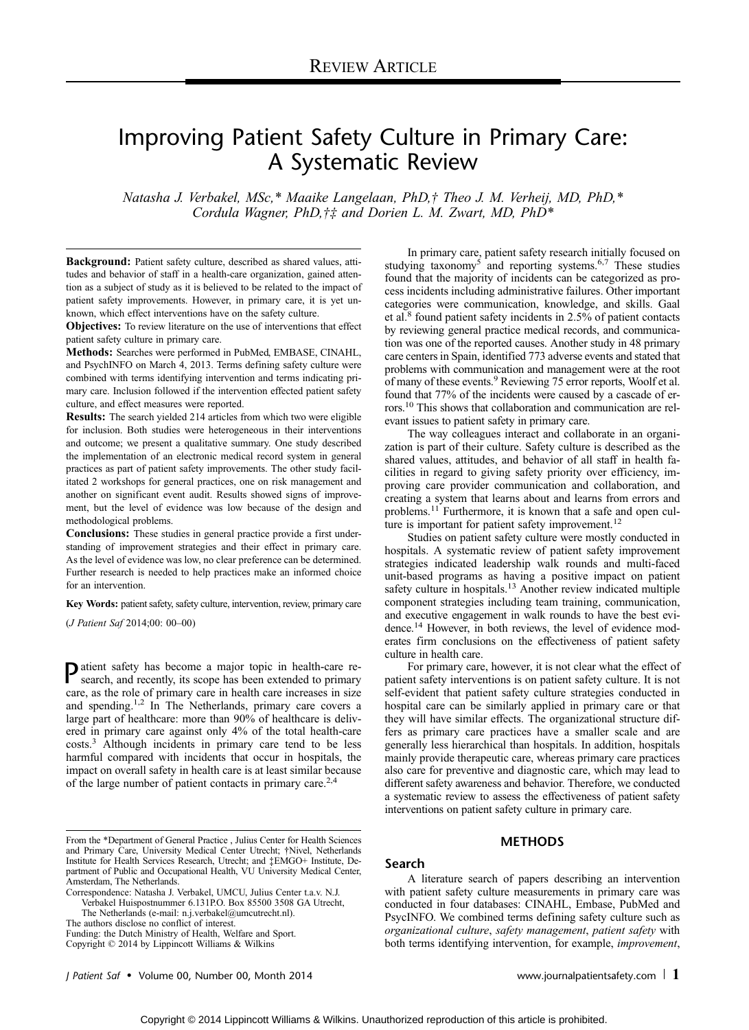# Improving Patient Safety Culture in Primary Care: A Systematic Review

Natasha J. Verbakel, MSc,\* Maaike Langelaan, PhD,† Theo J. M. Verheij, MD, PhD,\* Cordula Wagner, PhD, $\dagger\ddagger$  and Dorien L. M. Zwart, MD, PhD\*

Background: Patient safety culture, described as shared values, attitudes and behavior of staff in a health-care organization, gained attention as a subject of study as it is believed to be related to the impact of patient safety improvements. However, in primary care, it is yet unknown, which effect interventions have on the safety culture.

Objectives: To review literature on the use of interventions that effect patient safety culture in primary care.

Methods: Searches were performed in PubMed, EMBASE, CINAHL, and PsychINFO on March 4, 2013. Terms defining safety culture were combined with terms identifying intervention and terms indicating primary care. Inclusion followed if the intervention effected patient safety culture, and effect measures were reported.

Results: The search yielded 214 articles from which two were eligible for inclusion. Both studies were heterogeneous in their interventions and outcome; we present a qualitative summary. One study described the implementation of an electronic medical record system in general practices as part of patient safety improvements. The other study facilitated 2 workshops for general practices, one on risk management and another on significant event audit. Results showed signs of improvement, but the level of evidence was low because of the design and methodological problems.

Conclusions: These studies in general practice provide a first understanding of improvement strategies and their effect in primary care. As the level of evidence was low, no clear preference can be determined. Further research is needed to help practices make an informed choice for an intervention.

Key Words: patient safety, safety culture, intervention, review, primary care

 $(J$  Patient Saf 2014;00: 00-00)

Patient safety has become a major topic in health-care research, and recently, its scope has been extended to primary care, as the role of primary care in health care increases in size and spending.1,2 In The Netherlands, primary care covers a large part of healthcare: more than 90% of healthcare is delivered in primary care against only 4% of the total health-care costs.<sup>3</sup> Although incidents in primary care tend to be less harmful compared with incidents that occur in hospitals, the impact on overall safety in health care is at least similar because of the large number of patient contacts in primary care.<sup>2,4</sup>

Verbakel Huispostnummer 6.131P.O. Box 85500 3508 GA Utrecht, The Netherlands (e-mail: [n.j.verbakel@umcutrecht.nl\)](mailto:n.j.verbakel@umcutrecht.nl).

The authors disclose no conflict of interest.

Funding: the Dutch Ministry of Health, Welfare and Sport.

Copyright  $©$  2014 by Lippincott Williams & Wilkins

J Patient Saf • Volume 00, Number 00, Month 2014 www.journalpatientsafety.com | 1

In primary care, patient safety research initially focused on studying taxonomy<sup>5</sup> and reporting systems.<sup>6,7</sup> These studies found that the majority of incidents can be categorized as process incidents including administrative failures. Other important categories were communication, knowledge, and skills. Gaal et al.<sup>8</sup> found patient safety incidents in 2.5% of patient contacts by reviewing general practice medical records, and communication was one of the reported causes. Another study in 48 primary care centers in Spain, identified 773 adverse events and stated that problems with communication and management were at the root of many of these events.9 Reviewing 75 error reports, Woolf et al. found that 77% of the incidents were caused by a cascade of errors.<sup>10</sup> This shows that collaboration and communication are relevant issues to patient safety in primary care.

The way colleagues interact and collaborate in an organization is part of their culture. Safety culture is described as the shared values, attitudes, and behavior of all staff in health facilities in regard to giving safety priority over efficiency, improving care provider communication and collaboration, and creating a system that learns about and learns from errors and problems.<sup>11</sup> Furthermore, it is known that a safe and open culture is important for patient safety improvement.<sup>12</sup>

Studies on patient safety culture were mostly conducted in hospitals. A systematic review of patient safety improvement strategies indicated leadership walk rounds and multi-faced unit-based programs as having a positive impact on patient safety culture in hospitals.<sup>13</sup> Another review indicated multiple component strategies including team training, communication, and executive engagement in walk rounds to have the best evidence.14 However, in both reviews, the level of evidence moderates firm conclusions on the effectiveness of patient safety culture in health care.

For primary care, however, it is not clear what the effect of patient safety interventions is on patient safety culture. It is not self-evident that patient safety culture strategies conducted in hospital care can be similarly applied in primary care or that they will have similar effects. The organizational structure differs as primary care practices have a smaller scale and are generally less hierarchical than hospitals. In addition, hospitals mainly provide therapeutic care, whereas primary care practices also care for preventive and diagnostic care, which may lead to different safety awareness and behavior. Therefore, we conducted a systematic review to assess the effectiveness of patient safety interventions on patient safety culture in primary care.

## METHODS

#### Search

A literature search of papers describing an intervention with patient safety culture measurements in primary care was conducted in four databases: CINAHL, Embase, PubMed and PsycINFO. We combined terms defining safety culture such as organizational culture, safety management, patient safety with both terms identifying intervention, for example, improvement,

From the \*Department of General Practice , Julius Center for Health Sciences and Primary Care, University Medical Center Utrecht; †Nivel, Netherlands Institute for Health Services Research, Utrecht; and ‡EMGO+ Institute, Department of Public and Occupational Health, VU University Medical Center, Amsterdam, The Netherlands.

Correspondence: Natasha J. Verbakel, UMCU, Julius Center t.a.v. N.J.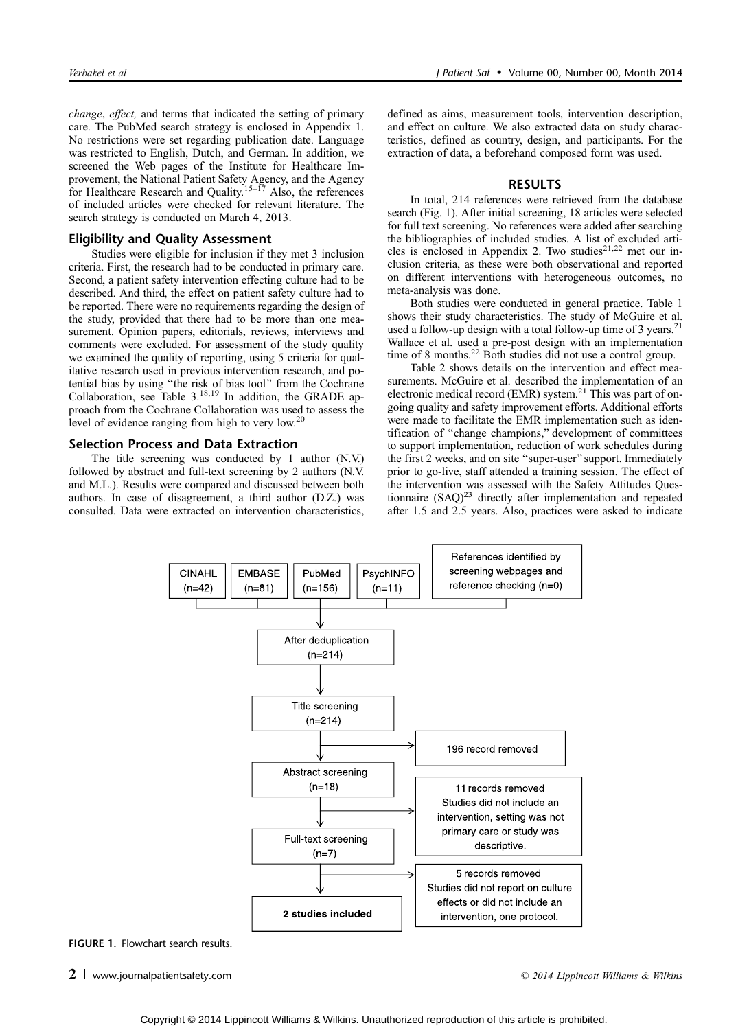change, effect, and terms that indicated the setting of primary care. The PubMed search strategy is enclosed in Appendix 1. No restrictions were set regarding publication date. Language was restricted to English, Dutch, and German. In addition, we screened the Web pages of the Institute for Healthcare Improvement, the National Patient Safety Agency, and the Agency for Healthcare Research and Quality.<sup>15-17</sup> Also, the references of included articles were checked for relevant literature. The search strategy is conducted on March 4, 2013.

## Eligibility and Quality Assessment

Studies were eligible for inclusion if they met 3 inclusion criteria. First, the research had to be conducted in primary care. Second, a patient safety intervention effecting culture had to be described. And third, the effect on patient safety culture had to be reported. There were no requirements regarding the design of the study, provided that there had to be more than one measurement. Opinion papers, editorials, reviews, interviews and comments were excluded. For assessment of the study quality we examined the quality of reporting, using 5 criteria for qualitative research used in previous intervention research, and potential bias by using ''the risk of bias tool'' from the Cochrane Collaboration, see Table 3.18,19 In addition, the GRADE approach from the Cochrane Collaboration was used to assess the level of evidence ranging from high to very low.<sup>20</sup>

# Selection Process and Data Extraction

The title screening was conducted by 1 author (N.V.) followed by abstract and full-text screening by 2 authors (N.V. and M.L.). Results were compared and discussed between both authors. In case of disagreement, a third author (D.Z.) was consulted. Data were extracted on intervention characteristics,

defined as aims, measurement tools, intervention description, and effect on culture. We also extracted data on study characteristics, defined as country, design, and participants. For the extraction of data, a beforehand composed form was used.

## RESULTS

In total, 214 references were retrieved from the database search (Fig. 1). After initial screening, 18 articles were selected for full text screening. No references were added after searching the bibliographies of included studies. A list of excluded articles is enclosed in Appendix 2. Two studies $2^{1,22}$  met our inclusion criteria, as these were both observational and reported on different interventions with heterogeneous outcomes, no meta-analysis was done.

Both studies were conducted in general practice. Table 1 shows their study characteristics. The study of McGuire et al. used a follow-up design with a total follow-up time of 3 years.<sup>21</sup> Wallace et al. used a pre-post design with an implementation time of 8 months.<sup>22</sup> Both studies did not use a control group.

Table 2 shows details on the intervention and effect measurements. McGuire et al. described the implementation of an electronic medical record (EMR) system.<sup>21</sup> This was part of ongoing quality and safety improvement efforts. Additional efforts were made to facilitate the EMR implementation such as identification of ''change champions,'' development of committees to support implementation, reduction of work schedules during the first 2 weeks, and on site ''super-user'' support. Immediately prior to go-live, staff attended a training session. The effect of the intervention was assessed with the Safety Attitudes Questionnaire  $(SAQ)^{23}$  directly after implementation and repeated after 1.5 and 2.5 years. Also, practices were asked to indicate



FIGURE 1. Flowchart search results.

**2** www.journalpatientsafety.com  $\degree$  2014 Lippincott Williams & Wilkins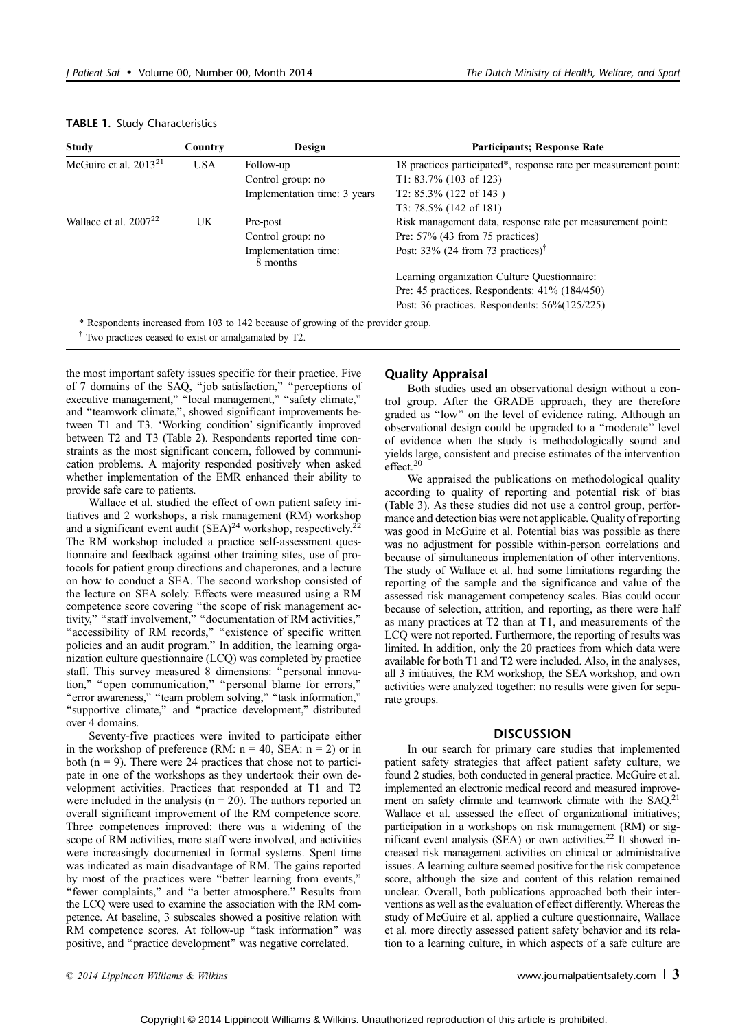| <b>Study</b>               | Country    | Design                           | <b>Participants; Response Rate</b>                               |
|----------------------------|------------|----------------------------------|------------------------------------------------------------------|
| McGuire et al. $2013^{21}$ | <b>USA</b> | Follow-up                        | 18 practices participated*, response rate per measurement point: |
|                            |            | Control group: no                | T1: $83.7\%$ (103 of 123)                                        |
|                            |            | Implementation time: 3 years     | T2: 85.3% (122 of 143)                                           |
|                            |            |                                  | T3: 78.5% (142 of 181)                                           |
| Wallace et al. $2007^{22}$ | UK.        | Pre-post                         | Risk management data, response rate per measurement point:       |
|                            |            | Control group: no                | Pre: $57\%$ (43 from 75 practices)                               |
|                            |            | Implementation time:<br>8 months | Post: 33% (24 from 73 practices) <sup>†</sup>                    |
|                            |            |                                  | Learning organization Culture Ouestionnaire:                     |
|                            |            |                                  | Pre: 45 practices. Respondents: $41\%$ (184/450)                 |
|                            |            |                                  | Post: 36 practices. Respondents: 56%(125/225)                    |

TABLE 1. Study Characteristics

\* Respondents increased from 103 to 142 because of growing of the provider group.

† Two practices ceased to exist or amalgamated by T2.

the most important safety issues specific for their practice. Five of 7 domains of the SAQ, ''job satisfaction,'' ''perceptions of executive management," "local management," "safety climate," and ''teamwork climate,'', showed significant improvements between T1 and T3. 'Working condition' significantly improved between T2 and T3 (Table 2). Respondents reported time constraints as the most significant concern, followed by communication problems. A majority responded positively when asked whether implementation of the EMR enhanced their ability to provide safe care to patients.

Wallace et al. studied the effect of own patient safety initiatives and 2 workshops, a risk management (RM) workshop and a significant event audit  $(SEA)^{24}$  workshop, respectively.<sup>2</sup> The RM workshop included a practice self-assessment questionnaire and feedback against other training sites, use of protocols for patient group directions and chaperones, and a lecture on how to conduct a SEA. The second workshop consisted of the lecture on SEA solely. Effects were measured using a RM competence score covering ''the scope of risk management activity," "staff involvement," "documentation of RM activities," "accessibility of RM records," "existence of specific written policies and an audit program.'' In addition, the learning organization culture questionnaire (LCQ) was completed by practice staff. This survey measured 8 dimensions: ''personal innovation," "open communication," "personal blame for errors," ''error awareness,'' ''team problem solving,'' ''task information,'' ''supportive climate,'' and ''practice development,'' distributed over 4 domains.

Seventy-five practices were invited to participate either in the workshop of preference (RM:  $n = 40$ , SEA:  $n = 2$ ) or in both  $(n = 9)$ . There were 24 practices that chose not to participate in one of the workshops as they undertook their own development activities. Practices that responded at T1 and T2 were included in the analysis ( $n = 20$ ). The authors reported an overall significant improvement of the RM competence score. Three competences improved: there was a widening of the scope of RM activities, more staff were involved, and activities were increasingly documented in formal systems. Spent time was indicated as main disadvantage of RM. The gains reported by most of the practices were ''better learning from events,'' ''fewer complaints,'' and ''a better atmosphere.'' Results from the LCQ were used to examine the association with the RM competence. At baseline, 3 subscales showed a positive relation with RM competence scores. At follow-up "task information" was positive, and ''practice development'' was negative correlated.

## Quality Appraisal

Both studies used an observational design without a control group. After the GRADE approach, they are therefore graded as ''low'' on the level of evidence rating. Although an observational design could be upgraded to a ''moderate'' level of evidence when the study is methodologically sound and yields large, consistent and precise estimates of the intervention effect.<sup>20</sup>

We appraised the publications on methodological quality according to quality of reporting and potential risk of bias (Table 3). As these studies did not use a control group, performance and detection bias were not applicable. Quality of reporting was good in McGuire et al. Potential bias was possible as there was no adjustment for possible within-person correlations and because of simultaneous implementation of other interventions. The study of Wallace et al. had some limitations regarding the reporting of the sample and the significance and value of the assessed risk management competency scales. Bias could occur because of selection, attrition, and reporting, as there were half as many practices at T2 than at T1, and measurements of the LCQ were not reported. Furthermore, the reporting of results was limited. In addition, only the 20 practices from which data were available for both T1 and T2 were included. Also, in the analyses, all 3 initiatives, the RM workshop, the SEA workshop, and own activities were analyzed together: no results were given for separate groups.

## **DISCUSSION**

In our search for primary care studies that implemented patient safety strategies that affect patient safety culture, we found 2 studies, both conducted in general practice. McGuire et al. implemented an electronic medical record and measured improvement on safety climate and teamwork climate with the SAQ.<sup>21</sup> Wallace et al. assessed the effect of organizational initiatives; participation in a workshops on risk management (RM) or significant event analysis (SEA) or own activities.<sup>22</sup> It showed increased risk management activities on clinical or administrative issues. A learning culture seemed positive for the risk competence score, although the size and content of this relation remained unclear. Overall, both publications approached both their interventions as well as the evaluation of effect differently. Whereas the study of McGuire et al. applied a culture questionnaire, Wallace et al. more directly assessed patient safety behavior and its relation to a learning culture, in which aspects of a safe culture are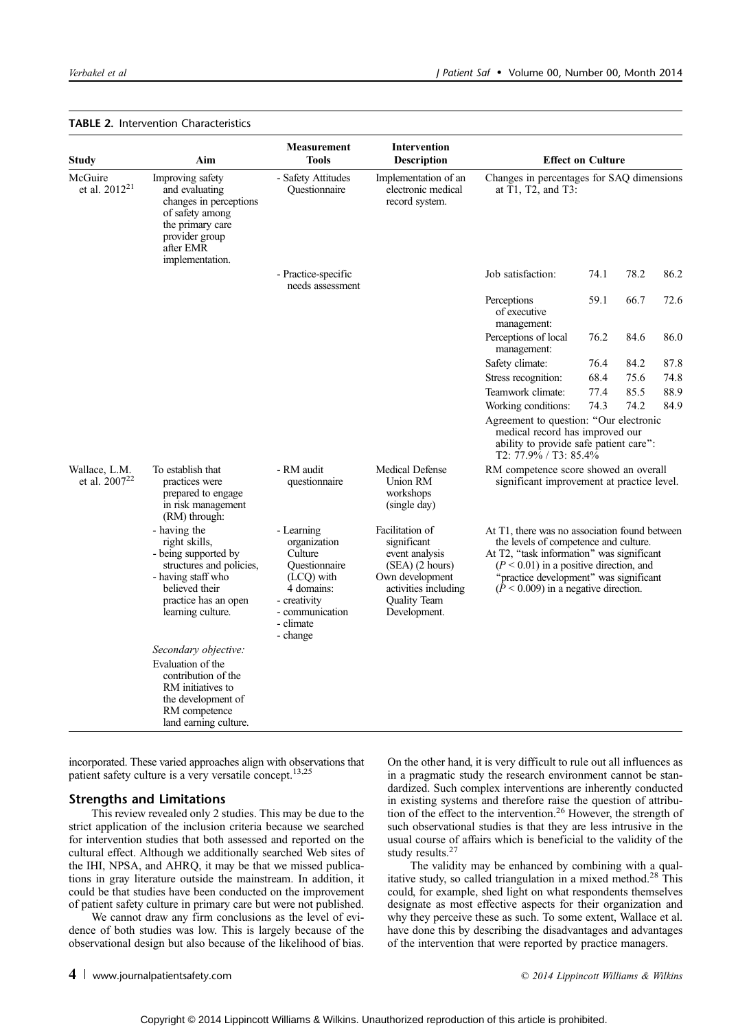| <b>Study</b>                         | Aim                                                                                                                                                                    | <b>Measurement</b><br>Tools                                                                                                                    | <b>Intervention</b><br><b>Description</b>                                                                                                      |                                                                                                                                                                                                                                                                      | <b>Effect on Culture</b> |      |      |
|--------------------------------------|------------------------------------------------------------------------------------------------------------------------------------------------------------------------|------------------------------------------------------------------------------------------------------------------------------------------------|------------------------------------------------------------------------------------------------------------------------------------------------|----------------------------------------------------------------------------------------------------------------------------------------------------------------------------------------------------------------------------------------------------------------------|--------------------------|------|------|
| McGuire<br>et al. 2012 <sup>21</sup> | Improving safety<br>and evaluating<br>changes in perceptions<br>of safety among<br>the primary care<br>provider group<br>after EMR<br>implementation.                  | - Safety Attitudes<br>Questionnaire                                                                                                            | Implementation of an<br>electronic medical<br>record system.                                                                                   | Changes in percentages for SAQ dimensions<br>at T1, T2, and T3:                                                                                                                                                                                                      |                          |      |      |
|                                      |                                                                                                                                                                        | - Practice-specific<br>needs assessment                                                                                                        |                                                                                                                                                | Job satisfaction:                                                                                                                                                                                                                                                    | 74.1                     | 78.2 | 86.2 |
|                                      |                                                                                                                                                                        |                                                                                                                                                |                                                                                                                                                | Perceptions<br>of executive<br>management:                                                                                                                                                                                                                           | 59.1                     | 66.7 | 72.6 |
|                                      |                                                                                                                                                                        |                                                                                                                                                |                                                                                                                                                | Perceptions of local<br>management:                                                                                                                                                                                                                                  | 76.2                     | 84.6 | 86.0 |
|                                      |                                                                                                                                                                        |                                                                                                                                                |                                                                                                                                                | Safety climate:                                                                                                                                                                                                                                                      | 76.4                     | 84.2 | 87.8 |
|                                      |                                                                                                                                                                        |                                                                                                                                                |                                                                                                                                                | Stress recognition:                                                                                                                                                                                                                                                  | 68.4                     | 75.6 | 74.8 |
|                                      |                                                                                                                                                                        |                                                                                                                                                |                                                                                                                                                | Teamwork climate:                                                                                                                                                                                                                                                    | 77.4                     | 85.5 | 88.9 |
|                                      |                                                                                                                                                                        |                                                                                                                                                |                                                                                                                                                | Working conditions:                                                                                                                                                                                                                                                  | 74.3                     | 74.2 | 84.9 |
|                                      |                                                                                                                                                                        |                                                                                                                                                |                                                                                                                                                | Agreement to question: "Our electronic<br>medical record has improved our<br>ability to provide safe patient care":<br>T2: 77.9% / T3: 85.4%                                                                                                                         |                          |      |      |
| Wallace, L.M.<br>et al. $2007^{22}$  | To establish that<br>practices were<br>prepared to engage<br>in risk management<br>(RM) through:                                                                       | - RM audit<br>questionnaire                                                                                                                    | <b>Medical Defense</b><br>Union RM<br>workshops<br>(single day)                                                                                | RM competence score showed an overall<br>significant improvement at practice level.                                                                                                                                                                                  |                          |      |      |
|                                      | - having the<br>right skills,<br>- being supported by<br>structures and policies,<br>- having staff who<br>believed their<br>practice has an open<br>learning culture. | - Learning<br>organization<br>Culture<br>Questionnaire<br>(LCQ) with<br>4 domains:<br>- creativity<br>- communication<br>- climate<br>- change | Facilitation of<br>significant<br>event analysis<br>(SEA) (2 hours)<br>Own development<br>activities including<br>Quality Team<br>Development. | At T1, there was no association found between<br>the levels of competence and culture.<br>At T2, "task information" was significant<br>$(P < 0.01)$ in a positive direction, and<br>"practice development" was significant<br>$(P < 0.009)$ in a negative direction. |                          |      |      |
|                                      | Secondary objective:<br>Evaluation of the<br>contribution of the<br>RM initiatives to<br>the development of<br>RM competence<br>land earning culture.                  |                                                                                                                                                |                                                                                                                                                |                                                                                                                                                                                                                                                                      |                          |      |      |

TABLE 2. Intervention Characteristics

incorporated. These varied approaches align with observations that patient safety culture is a very versatile concept.<sup>13,25</sup>

## Strengths and Limitations

This review revealed only 2 studies. This may be due to the strict application of the inclusion criteria because we searched for intervention studies that both assessed and reported on the cultural effect. Although we additionally searched Web sites of the IHI, NPSA, and AHRQ, it may be that we missed publications in gray literature outside the mainstream. In addition, it could be that studies have been conducted on the improvement of patient safety culture in primary care but were not published.

We cannot draw any firm conclusions as the level of evidence of both studies was low. This is largely because of the observational design but also because of the likelihood of bias.

On the other hand, it is very difficult to rule out all influences as in a pragmatic study the research environment cannot be standardized. Such complex interventions are inherently conducted in existing systems and therefore raise the question of attribution of the effect to the intervention.<sup>26</sup> However, the strength of such observational studies is that they are less intrusive in the usual course of affairs which is beneficial to the validity of the study results.<sup>27</sup>

The validity may be enhanced by combining with a qualitative study, so called triangulation in a mixed method.28 This could, for example, shed light on what respondents themselves designate as most effective aspects for their organization and why they perceive these as such. To some extent, Wallace et al. have done this by describing the disadvantages and advantages of the intervention that were reported by practice managers.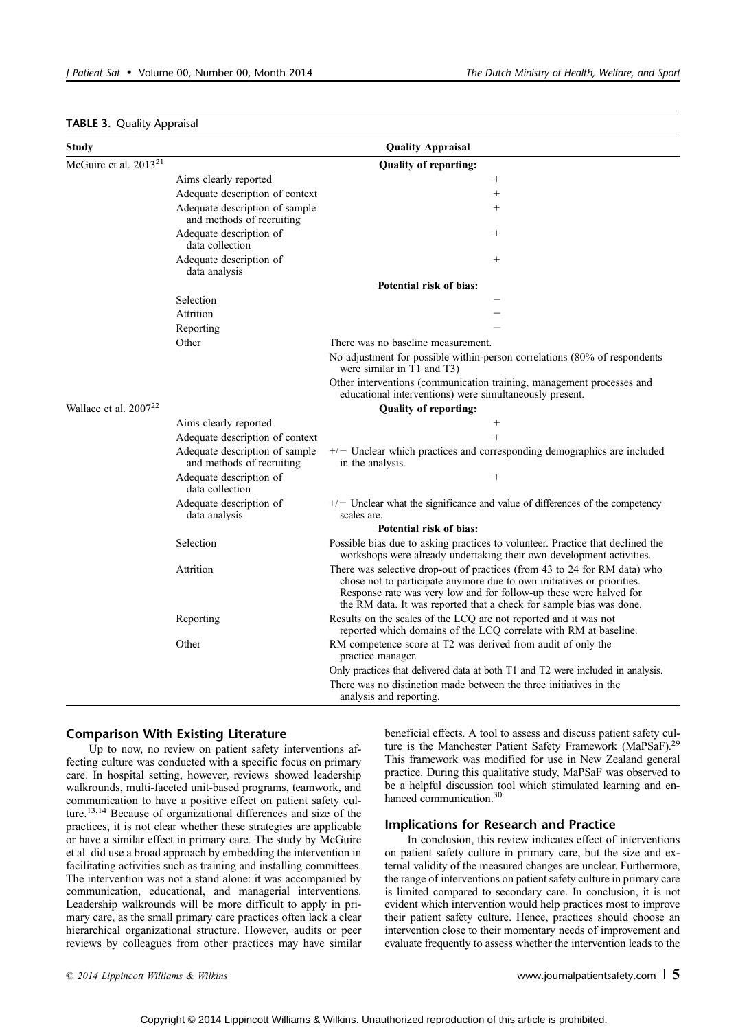## TABLE 3. Quality Appraisal

| <b>Study</b>                      | <b>Quality Appraisal</b>                                    |                                                                                                                                                                                                                                                                                                  |  |  |  |
|-----------------------------------|-------------------------------------------------------------|--------------------------------------------------------------------------------------------------------------------------------------------------------------------------------------------------------------------------------------------------------------------------------------------------|--|--|--|
| McGuire et al. 2013 <sup>21</sup> | <b>Quality of reporting:</b>                                |                                                                                                                                                                                                                                                                                                  |  |  |  |
|                                   | Aims clearly reported                                       | $^{+}$                                                                                                                                                                                                                                                                                           |  |  |  |
|                                   | Adequate description of context                             | $^{+}$                                                                                                                                                                                                                                                                                           |  |  |  |
|                                   | Adequate description of sample<br>and methods of recruiting | $^{+}$                                                                                                                                                                                                                                                                                           |  |  |  |
|                                   | Adequate description of<br>data collection                  | $^{+}$                                                                                                                                                                                                                                                                                           |  |  |  |
|                                   | Adequate description of<br>data analysis                    | $^{+}$                                                                                                                                                                                                                                                                                           |  |  |  |
|                                   |                                                             | Potential risk of bias:                                                                                                                                                                                                                                                                          |  |  |  |
|                                   | Selection                                                   |                                                                                                                                                                                                                                                                                                  |  |  |  |
|                                   | Attrition                                                   |                                                                                                                                                                                                                                                                                                  |  |  |  |
|                                   | Reporting                                                   |                                                                                                                                                                                                                                                                                                  |  |  |  |
|                                   | Other                                                       | There was no baseline measurement.                                                                                                                                                                                                                                                               |  |  |  |
|                                   |                                                             | No adjustment for possible within-person correlations (80% of respondents<br>were similar in T1 and T3)                                                                                                                                                                                          |  |  |  |
|                                   |                                                             | Other interventions (communication training, management processes and<br>educational interventions) were simultaneously present.                                                                                                                                                                 |  |  |  |
| Wallace et al. $2007^{22}$        |                                                             | <b>Quality of reporting:</b>                                                                                                                                                                                                                                                                     |  |  |  |
|                                   | Aims clearly reported                                       | $^{+}$                                                                                                                                                                                                                                                                                           |  |  |  |
|                                   | Adequate description of context                             | $\ddot{}$                                                                                                                                                                                                                                                                                        |  |  |  |
|                                   | Adequate description of sample<br>and methods of recruiting | $+/-$ Unclear which practices and corresponding demographics are included<br>in the analysis.                                                                                                                                                                                                    |  |  |  |
|                                   | Adequate description of<br>data collection                  |                                                                                                                                                                                                                                                                                                  |  |  |  |
|                                   | Adequate description of<br>data analysis                    | $+/-$ Unclear what the significance and value of differences of the competency<br>scales are.                                                                                                                                                                                                    |  |  |  |
|                                   |                                                             | Potential risk of bias:                                                                                                                                                                                                                                                                          |  |  |  |
|                                   | Selection                                                   | Possible bias due to asking practices to volunteer. Practice that declined the<br>workshops were already undertaking their own development activities.                                                                                                                                           |  |  |  |
|                                   | Attrition                                                   | There was selective drop-out of practices (from 43 to 24 for RM data) who<br>chose not to participate anymore due to own initiatives or priorities.<br>Response rate was very low and for follow-up these were halved for<br>the RM data. It was reported that a check for sample bias was done. |  |  |  |
|                                   | Reporting                                                   | Results on the scales of the LCQ are not reported and it was not<br>reported which domains of the LCQ correlate with RM at baseline.                                                                                                                                                             |  |  |  |
|                                   | Other                                                       | RM competence score at T2 was derived from audit of only the<br>practice manager.                                                                                                                                                                                                                |  |  |  |
|                                   |                                                             | Only practices that delivered data at both T1 and T2 were included in analysis.                                                                                                                                                                                                                  |  |  |  |
|                                   |                                                             | There was no distinction made between the three initiatives in the<br>analysis and reporting.                                                                                                                                                                                                    |  |  |  |

## Comparison With Existing Literature

Up to now, no review on patient safety interventions affecting culture was conducted with a specific focus on primary care. In hospital setting, however, reviews showed leadership walkrounds, multi-faceted unit-based programs, teamwork, and communication to have a positive effect on patient safety culture.13,14 Because of organizational differences and size of the practices, it is not clear whether these strategies are applicable or have a similar effect in primary care. The study by McGuire et al. did use a broad approach by embedding the intervention in facilitating activities such as training and installing committees. The intervention was not a stand alone: it was accompanied by communication, educational, and managerial interventions. Leadership walkrounds will be more difficult to apply in primary care, as the small primary care practices often lack a clear hierarchical organizational structure. However, audits or peer reviews by colleagues from other practices may have similar beneficial effects. A tool to assess and discuss patient safety culture is the Manchester Patient Safety Framework (MaPSaF).29 This framework was modified for use in New Zealand general practice. During this qualitative study, MaPSaF was observed to be a helpful discussion tool which stimulated learning and enhanced communication.30

## Implications for Research and Practice

In conclusion, this review indicates effect of interventions on patient safety culture in primary care, but the size and external validity of the measured changes are unclear. Furthermore, the range of interventions on patient safety culture in primary care is limited compared to secondary care. In conclusion, it is not evident which intervention would help practices most to improve their patient safety culture. Hence, practices should choose an intervention close to their momentary needs of improvement and evaluate frequently to assess whether the intervention leads to the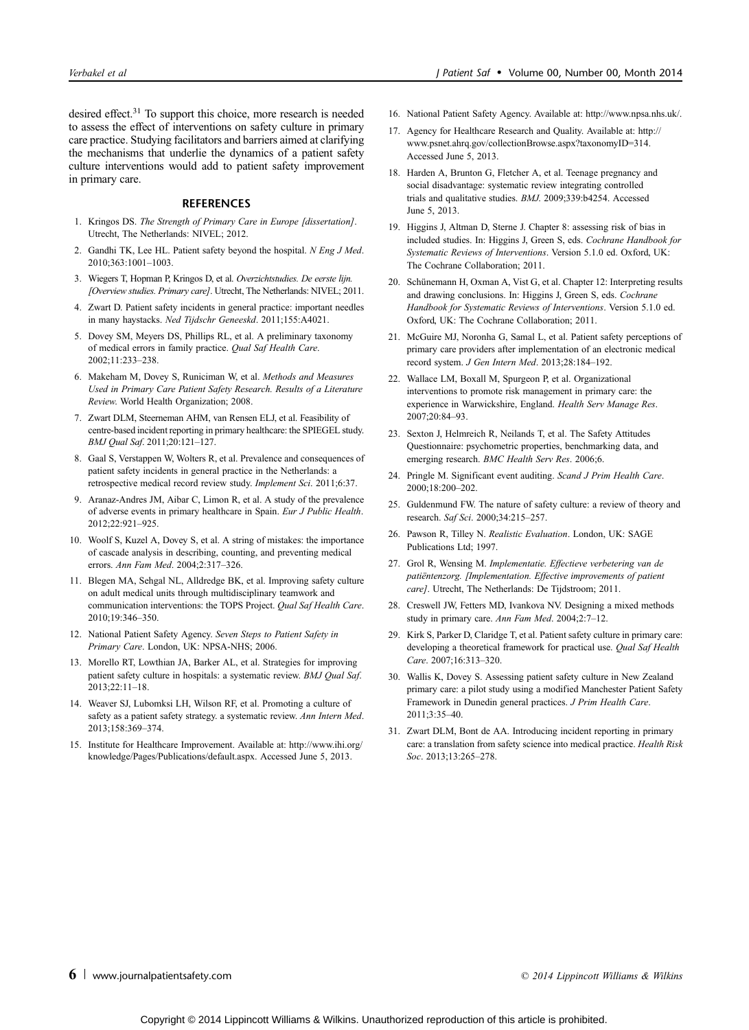desired effect.<sup>31</sup> To support this choice, more research is needed to assess the effect of interventions on safety culture in primary care practice. Studying facilitators and barriers aimed at clarifying the mechanisms that underlie the dynamics of a patient safety culture interventions would add to patient safety improvement in primary care.

## **REFERENCES**

- 1. Kringos DS. The Strength of Primary Care in Europe [dissertation]. Utrecht, The Netherlands: NIVEL; 2012.
- 2. Gandhi TK, Lee HL. Patient safety beyond the hospital. N Eng J Med. 2010;363:1001-1003.
- 3. Wiegers T, Hopman P, Kringos D, et al. Overzichtstudies. De eerste lijn. [Overview studies. Primary care]. Utrecht, The Netherlands: NIVEL; 2011.
- 4. Zwart D. Patient safety incidents in general practice: important needles in many haystacks. Ned Tijdschr Geneeskd. 2011;155:A4021.
- 5. Dovey SM, Meyers DS, Phillips RL, et al. A preliminary taxonomy of medical errors in family practice. Qual Saf Health Care. 2002:11:233-238.
- 6. Makeham M, Dovey S, Runiciman W, et al. Methods and Measures Used in Primary Care Patient Safety Research. Results of a Literature Review. World Health Organization; 2008.
- 7. Zwart DLM, Steerneman AHM, van Rensen ELJ, et al. Feasibility of centre-based incident reporting in primary healthcare: the SPIEGEL study. BMJ Qual Saf. 2011;20:121-127.
- 8. Gaal S, Verstappen W, Wolters R, et al. Prevalence and consequences of patient safety incidents in general practice in the Netherlands: a retrospective medical record review study. Implement Sci. 2011;6:37.
- 9. Aranaz-Andres JM, Aibar C, Limon R, et al. A study of the prevalence of adverse events in primary healthcare in Spain. Eur J Public Health. 2012;22:921-925.
- 10. Woolf S, Kuzel A, Dovey S, et al. A string of mistakes: the importance of cascade analysis in describing, counting, and preventing medical errors. Ann Fam Med. 2004;2:317-326.
- 11. Blegen MA, Sehgal NL, Alldredge BK, et al. Improving safety culture on adult medical units through multidisciplinary teamwork and communication interventions: the TOPS Project. Qual Saf Health Care. 2010:19:346-350.
- 12. National Patient Safety Agency. Seven Steps to Patient Safety in Primary Care. London, UK: NPSA-NHS; 2006.
- 13. Morello RT, Lowthian JA, Barker AL, et al. Strategies for improving patient safety culture in hospitals: a systematic review. BMJ Qual Saf. 2013:22:11-18.
- 14. Weaver SJ, Lubomksi LH, Wilson RF, et al. Promoting a culture of safety as a patient safety strategy. a systematic review. Ann Intern Med. 2013;158:369-374.
- 15. Institute for Healthcare Improvement. Available at: [http://www.ihi.org/](http://www.ihi.org/knowledge/Pages/Publications/default.aspx) [knowledge/Pages/Publications/default.aspx.](http://www.ihi.org/knowledge/Pages/Publications/default.aspx) Accessed June 5, 2013.
- 16. National Patient Safety Agency. Available at: [http://www.npsa.nhs.uk/.](http://www.npsa.nhs.uk/)
- 17. Agency for Healthcare Research and Quality. Available at: [http://](http://www.psnet.ahrq.gov/collectionBrowse.aspx?taxonomyID=314) [www.psnet.ahrq.gov/collectionBrowse.aspx?taxonomyID=314.](http://www.psnet.ahrq.gov/collectionBrowse.aspx?taxonomyID=314) Accessed June 5, 2013.
- 18. Harden A, Brunton G, Fletcher A, et al. Teenage pregnancy and social disadvantage: systematic review integrating controlled trials and qualitative studies. BMJ. 2009;339:b4254. Accessed June 5, 2013.
- 19. Higgins J, Altman D, Sterne J. Chapter 8: assessing risk of bias in included studies. In: Higgins J, Green S, eds. Cochrane Handbook for Systematic Reviews of Interventions. Version 5.1.0 ed. Oxford, UK: The Cochrane Collaboration; 2011.
- 20. Schünemann H, Oxman A, Vist G, et al. Chapter 12: Interpreting results and drawing conclusions. In: Higgins J, Green S, eds. Cochrane Handbook for Systematic Reviews of Interventions. Version 5.1.0 ed. Oxford, UK: The Cochrane Collaboration; 2011.
- 21. McGuire MJ, Noronha G, Samal L, et al. Patient safety perceptions of primary care providers after implementation of an electronic medical record system. J Gen Intern Med. 2013;28:184-192.
- 22. Wallace LM, Boxall M, Spurgeon P, et al. Organizational interventions to promote risk management in primary care: the experience in Warwickshire, England. Health Serv Manage Res. 2007;20:84-93.
- 23. Sexton J, Helmreich R, Neilands T, et al. The Safety Attitudes Questionnaire: psychometric properties, benchmarking data, and emerging research. BMC Health Serv Res. 2006;6.
- 24. Pringle M. Significant event auditing. Scand J Prim Health Care. 2000:18:200-202.
- 25. Guldenmund FW. The nature of safety culture: a review of theory and research. Saf Sci. 2000;34:215-257.
- 26. Pawson R, Tilley N. Realistic Evaluation. London, UK: SAGE Publications Ltd; 1997.
- 27. Grol R, Wensing M. Implementatie. Effectieve verbetering van de patiëntenzorg. [Implementation. Effective improvements of patient care]. Utrecht, The Netherlands: De Tijdstroom; 2011.
- 28. Creswell JW, Fetters MD, Ivankova NV. Designing a mixed methods study in primary care. Ann Fam Med. 2004;2:7-12.
- 29. Kirk S, Parker D, Claridge T, et al. Patient safety culture in primary care: developing a theoretical framework for practical use. Qual Saf Health Care. 2007:16:313-320.
- 30. Wallis K, Dovey S. Assessing patient safety culture in New Zealand primary care: a pilot study using a modified Manchester Patient Safety Framework in Dunedin general practices. J Prim Health Care. 2011;3:35-40.
- 31. Zwart DLM, Bont de AA. Introducing incident reporting in primary care: a translation from safety science into medical practice. Health Risk Soc. 2013;13:265-278.